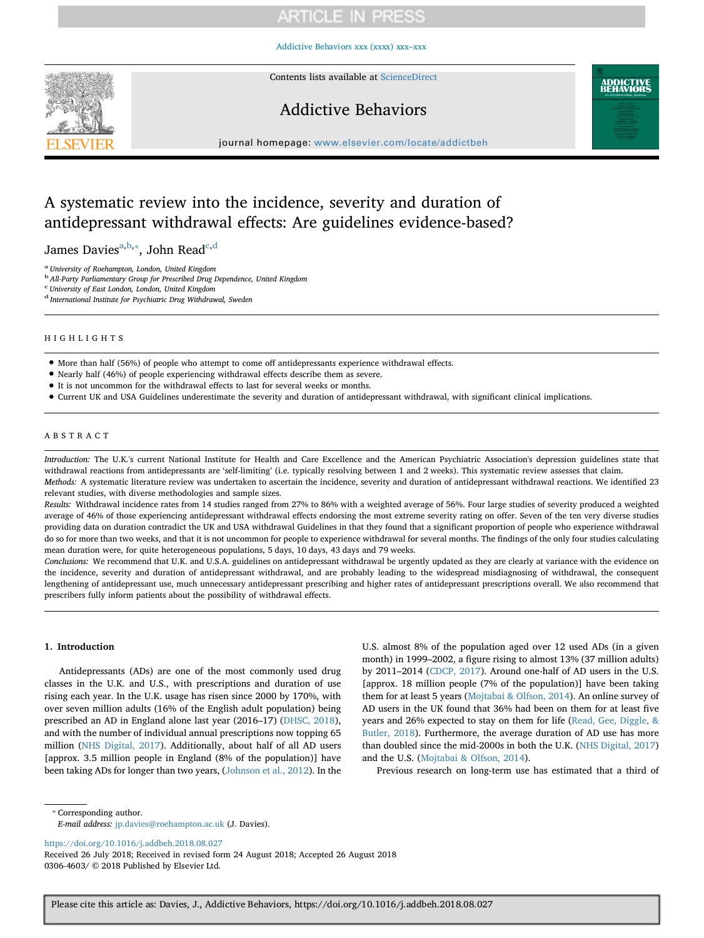[Addictive Behaviors xxx \(xxxx\) xxx–xxx](https://doi.org/10.1016/j.addbeh.2018.08.027)



Contents lists available at [ScienceDirect](http://www.sciencedirect.com/science/journal/03064603)

# Addictive Behaviors



journal homepage: [www.elsevier.com/locate/addictbeh](https://www.elsevier.com/locate/addictbeh)

# A systematic review into the incidence, severity and duration of antidepressant withdrawal effects: Are guidelines evidence-based?

James Davies<sup>[a,](#page-0-0)[b,](#page-0-1)</sup>\*, John Read<sup>[c,](#page-0-3)[d](#page-0-4)</sup>

<span id="page-0-0"></span><sup>a</sup> *University of Roehampton, London, United Kingdom*

<span id="page-0-1"></span><sup>b</sup>*All-Party Parliamentary Group for Prescribed Drug Dependence, United Kingdom*

<span id="page-0-3"></span>c *University of East London, London, United Kingdom*

<span id="page-0-4"></span><sup>d</sup> *International Institute for Psychiatric Drug Withdrawal, Sweden*

## HIGHLIGHTS

• More than half (56%) of people who attempt to come off antidepressants experience withdrawal effects.

- Nearly half (46%) of people experiencing withdrawal effects describe them as severe.
- It is not uncommon for the withdrawal effects to last for several weeks or months.
- Current UK and USA Guidelines underestimate the severity and duration of antidepressant withdrawal, with significant clinical implications.

## ABSTRACT

*Introduction:* The U.K.'s current National Institute for Health and Care Excellence and the American Psychiatric Association's depression guidelines state that withdrawal reactions from antidepressants are 'self-limiting' (i.e. typically resolving between 1 and 2 weeks). This systematic review assesses that claim. *Methods:* A systematic literature review was undertaken to ascertain the incidence, severity and duration of antidepressant withdrawal reactions. We identified 23

relevant studies, with diverse methodologies and sample sizes.

*Results:* Withdrawal incidence rates from 14 studies ranged from 27% to 86% with a weighted average of 56%. Four large studies of severity produced a weighted average of 46% of those experiencing antidepressant withdrawal effects endorsing the most extreme severity rating on offer. Seven of the ten very diverse studies providing data on duration contradict the UK and USA withdrawal Guidelines in that they found that a significant proportion of people who experience withdrawal do so for more than two weeks, and that it is not uncommon for people to experience withdrawal for several months. The findings of the only four studies calculating mean duration were, for quite heterogeneous populations, 5 days, 10 days, 43 days and 79 weeks.

*Conclusions:* We recommend that U.K. and U.S.A. guidelines on antidepressant withdrawal be urgently updated as they are clearly at variance with the evidence on the incidence, severity and duration of antidepressant withdrawal, and are probably leading to the widespread misdiagnosing of withdrawal, the consequent lengthening of antidepressant use, much unnecessary antidepressant prescribing and higher rates of antidepressant prescriptions overall. We also recommend that prescribers fully inform patients about the possibility of withdrawal effects.

## **1. Introduction**

Antidepressants (ADs) are one of the most commonly used drug classes in the U.K. and U.S., with prescriptions and duration of use rising each year. In the U.K. usage has risen since 2000 by 170%, with over seven million adults (16% of the English adult population) being prescribed an AD in England alone last year (2016–17) [\(DHSC, 2018](#page-8-0)), and with the number of individual annual prescriptions now topping 65 million [\(NHS Digital, 2017\)](#page-9-0). Additionally, about half of all AD users [approx. 3.5 million people in England (8% of the population)] have been taking ADs for longer than two years, ([Johnson et al., 2012](#page-9-1)). In the

U.S. almost 8% of the population aged over 12 used ADs (in a given month) in 1999–2002, a figure rising to almost 13% (37 million adults) by 2011–2014 ([CDCP, 2017\)](#page-8-1). Around one-half of AD users in the U.S. [approx. 18 million people (7% of the population)] have been taking them for at least 5 years ([Mojtabai & Olfson, 2014](#page-9-2)). An online survey of AD users in the UK found that 36% had been on them for at least five years and 26% expected to stay on them for life ([Read, Gee, Diggle, &](#page-9-3) [Butler, 2018](#page-9-3)). Furthermore, the average duration of AD use has more than doubled since the mid-2000s in both the U.K. [\(NHS Digital, 2017\)](#page-9-0) and the U.S. [\(Mojtabai & Olfson, 2014\)](#page-9-2).

Previous research on long-term use has estimated that a third of

<span id="page-0-2"></span>⁎ Corresponding author.

<https://doi.org/10.1016/j.addbeh.2018.08.027>

Received 26 July 2018; Received in revised form 24 August 2018; Accepted 26 August 2018 0306-4603/ © 2018 Published by Elsevier Ltd.

*E-mail address:* [jp.davies@roehampton.ac.uk](mailto:jp.davies@roehampton.ac.uk) (J. Davies).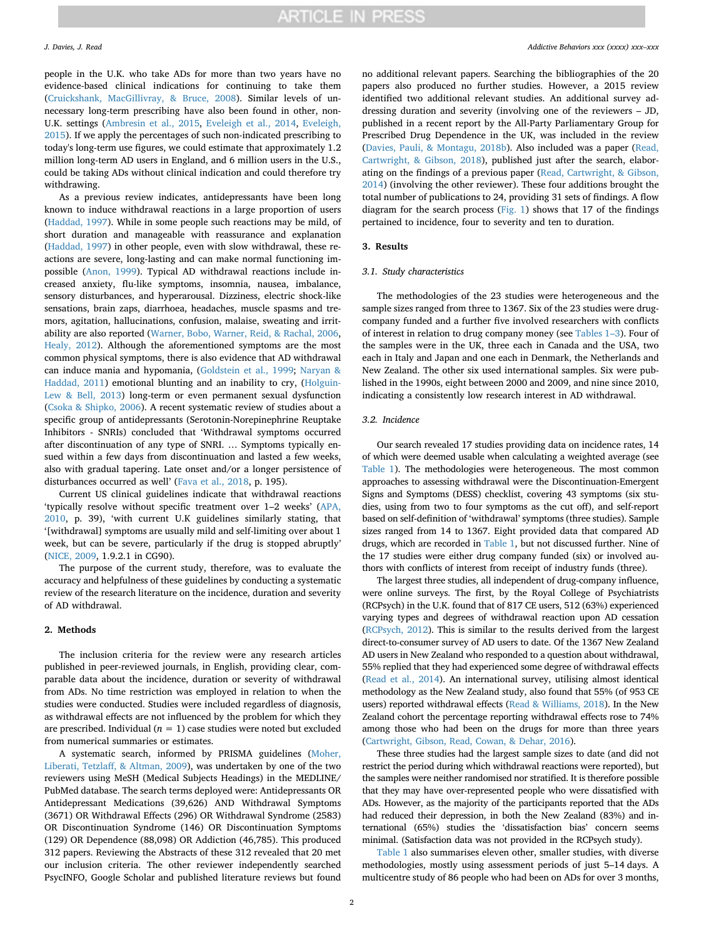people in the U.K. who take ADs for more than two years have no evidence-based clinical indications for continuing to take them ([Cruickshank, MacGillivray, & Bruce, 2008\)](#page-8-2). Similar levels of unnecessary long-term prescribing have also been found in other, non-U.K. settings [\(Ambresin et al., 2015,](#page-8-3) [Eveleigh et al., 2014,](#page-8-4) [Eveleigh,](#page-8-5) [2015\)](#page-8-5). If we apply the percentages of such non-indicated prescribing to today's long-term use figures, we could estimate that approximately 1.2 million long-term AD users in England, and 6 million users in the U.S., could be taking ADs without clinical indication and could therefore try withdrawing.

As a previous review indicates, antidepressants have been long known to induce withdrawal reactions in a large proportion of users ([Haddad, 1997\)](#page-9-4). While in some people such reactions may be mild, of short duration and manageable with reassurance and explanation ([Haddad, 1997](#page-9-4)) in other people, even with slow withdrawal, these reactions are severe, long-lasting and can make normal functioning impossible ([Anon, 1999\)](#page-8-6). Typical AD withdrawal reactions include increased anxiety, flu-like symptoms, insomnia, nausea, imbalance, sensory disturbances, and hyperarousal. Dizziness, electric shock-like sensations, brain zaps, diarrhoea, headaches, muscle spasms and tremors, agitation, hallucinations, confusion, malaise, sweating and irritability are also reported ([Warner, Bobo, Warner, Reid, & Rachal, 2006](#page-9-5), [Healy, 2012](#page-9-6)). Although the aforementioned symptoms are the most common physical symptoms, there is also evidence that AD withdrawal can induce mania and hypomania, ([Goldstein et al., 1999](#page-9-7); [Naryan &](#page-9-8) [Haddad, 2011\)](#page-9-8) emotional blunting and an inability to cry, ([Holguin-](#page-9-9)[Lew & Bell, 2013\)](#page-9-9) long-term or even permanent sexual dysfunction ([Csoka & Shipko, 2006](#page-8-7)). A recent systematic review of studies about a specific group of antidepressants (Serotonin-Norepinephrine Reuptake Inhibitors - SNRIs) concluded that 'Withdrawal symptoms occurred after discontinuation of any type of SNRI. … Symptoms typically ensued within a few days from discontinuation and lasted a few weeks, also with gradual tapering. Late onset and/or a longer persistence of disturbances occurred as well' [\(Fava et al., 2018,](#page-8-8) p. 195).

Current US clinical guidelines indicate that withdrawal reactions 'typically resolve without specific treatment over 1–2 weeks' [\(APA,](#page-8-9) [2010,](#page-8-9) p. 39), 'with current U.K guidelines similarly stating, that '[withdrawal] symptoms are usually mild and self-limiting over about 1 week, but can be severe, particularly if the drug is stopped abruptly' ([NICE, 2009](#page-9-10), 1.9.2.1 in CG90).

The purpose of the current study, therefore, was to evaluate the accuracy and helpfulness of these guidelines by conducting a systematic review of the research literature on the incidence, duration and severity of AD withdrawal.

## **2. Methods**

The inclusion criteria for the review were any research articles published in peer-reviewed journals, in English, providing clear, comparable data about the incidence, duration or severity of withdrawal from ADs. No time restriction was employed in relation to when the studies were conducted. Studies were included regardless of diagnosis, as withdrawal effects are not influenced by the problem for which they are prescribed. Individual  $(n = 1)$  case studies were noted but excluded from numerical summaries or estimates.

A systematic search, informed by PRISMA guidelines ([Moher,](#page-9-11) [Liberati, Tetzlaff, & Altman, 2009](#page-9-11)), was undertaken by one of the two reviewers using MeSH (Medical Subjects Headings) in the MEDLINE/ PubMed database. The search terms deployed were: Antidepressants OR Antidepressant Medications (39,626) AND Withdrawal Symptoms (3671) OR Withdrawal Effects (296) OR Withdrawal Syndrome (2583) OR Discontinuation Syndrome (146) OR Discontinuation Symptoms (129) OR Dependence (88,098) OR Addiction (46,785). This produced 312 papers. Reviewing the Abstracts of these 312 revealed that 20 met our inclusion criteria. The other reviewer independently searched PsycINFO, Google Scholar and published literature reviews but found no additional relevant papers. Searching the bibliographies of the 20 papers also produced no further studies. However, a 2015 review identified two additional relevant studies. An additional survey addressing duration and severity (involving one of the reviewers – JD, published in a recent report by the All-Party Parliamentary Group for Prescribed Drug Dependence in the UK, was included in the review ([Davies, Pauli, & Montagu, 2018b\)](#page-8-10). Also included was a paper ([Read,](#page-9-12) [Cartwright, & Gibson, 2018\)](#page-9-12), published just after the search, elaborating on the findings of a previous paper ([Read, Cartwright, & Gibson,](#page-9-13) [2014\)](#page-9-13) (involving the other reviewer). These four additions brought the total number of publications to 24, providing 31 sets of findings. A flow diagram for the search process [\(Fig. 1\)](#page-2-0) shows that 17 of the findings pertained to incidence, four to severity and ten to duration.

### **3. Results**

### *3.1. Study characteristics*

The methodologies of the 23 studies were heterogeneous and the sample sizes ranged from three to 1367. Six of the 23 studies were drugcompany funded and a further five involved researchers with conflicts of interest in relation to drug company money (see [Tables 1–3\)](#page-3-0). Four of the samples were in the UK, three each in Canada and the USA, two each in Italy and Japan and one each in Denmark, the Netherlands and New Zealand. The other six used international samples. Six were published in the 1990s, eight between 2000 and 2009, and nine since 2010, indicating a consistently low research interest in AD withdrawal.

### *3.2. Incidence*

Our search revealed 17 studies providing data on incidence rates, 14 of which were deemed usable when calculating a weighted average (see [Table 1\)](#page-3-0). The methodologies were heterogeneous. The most common approaches to assessing withdrawal were the Discontinuation-Emergent Signs and Symptoms (DESS) checklist, covering 43 symptoms (six studies, using from two to four symptoms as the cut off), and self-report based on self-definition of 'withdrawal' symptoms (three studies). Sample sizes ranged from 14 to 1367. Eight provided data that compared AD drugs, which are recorded in [Table 1,](#page-3-0) but not discussed further. Nine of the 17 studies were either drug company funded (six) or involved authors with conflicts of interest from receipt of industry funds (three).

The largest three studies, all independent of drug-company influence, were online surveys. The first, by the Royal College of Psychiatrists (RCPsych) in the U.K. found that of 817 CE users, 512 (63%) experienced varying types and degrees of withdrawal reaction upon AD cessation ([RCPsych, 2012](#page-9-14)). This is similar to the results derived from the largest direct-to-consumer survey of AD users to date. Of the 1367 New Zealand AD users in New Zealand who responded to a question about withdrawal, 55% replied that they had experienced some degree of withdrawal effects ([Read et al., 2014\)](#page-9-13). An international survey, utilising almost identical methodology as the New Zealand study, also found that 55% (of 953 CE users) reported withdrawal effects [\(Read & Williams, 2018](#page-9-15)). In the New Zealand cohort the percentage reporting withdrawal effects rose to 74% among those who had been on the drugs for more than three years ([Cartwright, Gibson, Read, Cowan, & Dehar, 2016](#page-8-11)).

These three studies had the largest sample sizes to date (and did not restrict the period during which withdrawal reactions were reported), but the samples were neither randomised nor stratified. It is therefore possible that they may have over-represented people who were dissatisfied with ADs. However, as the majority of the participants reported that the ADs had reduced their depression, in both the New Zealand (83%) and international (65%) studies the 'dissatisfaction bias' concern seems minimal. (Satisfaction data was not provided in the RCPsych study).

[Table 1](#page-3-0) also summarises eleven other, smaller studies, with diverse methodologies, mostly using assessment periods of just 5–14 days. A multicentre study of 86 people who had been on ADs for over 3 months,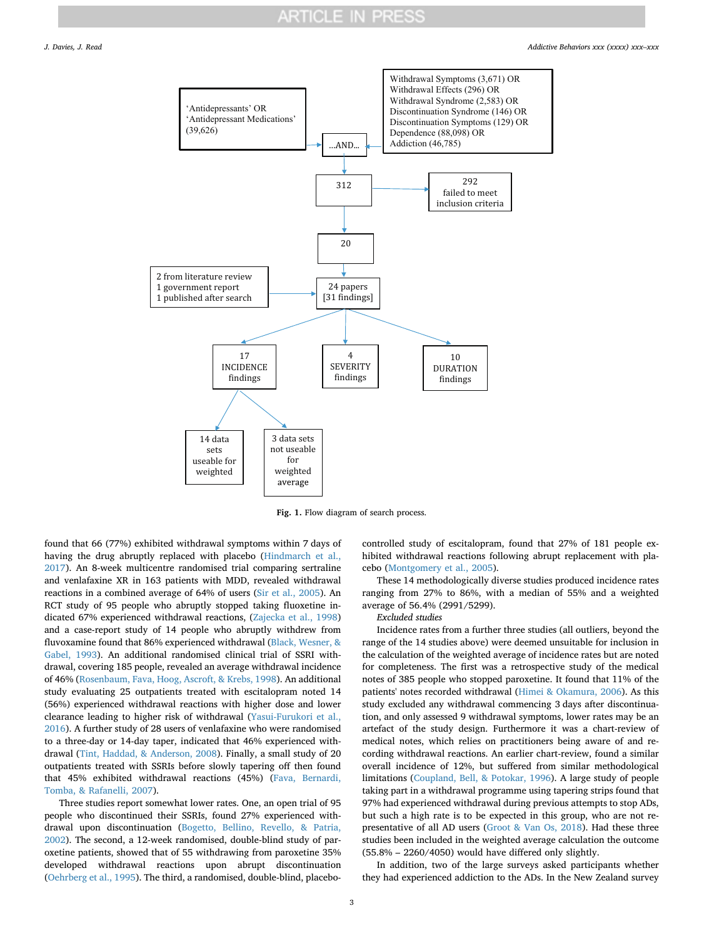<span id="page-2-0"></span>

**Fig. 1.** Flow diagram of search process.

found that 66 (77%) exhibited withdrawal symptoms within 7 days of having the drug abruptly replaced with placebo [\(Hindmarch et al.,](#page-9-16) [2017\)](#page-9-16). An 8-week multicentre randomised trial comparing sertraline and venlafaxine XR in 163 patients with MDD, revealed withdrawal reactions in a combined average of 64% of users ([Sir et al., 2005\)](#page-9-17). An RCT study of 95 people who abruptly stopped taking fluoxetine indicated 67% experienced withdrawal reactions, [\(Zajecka et al., 1998\)](#page-9-18) and a case-report study of 14 people who abruptly withdrew from fluvoxamine found that 86% experienced withdrawal [\(Black, Wesner, &](#page-8-12) [Gabel, 1993](#page-8-12)). An additional randomised clinical trial of SSRI withdrawal, covering 185 people, revealed an average withdrawal incidence of 46% [\(Rosenbaum, Fava, Hoog, Ascroft, & Krebs, 1998\)](#page-9-19). An additional study evaluating 25 outpatients treated with escitalopram noted 14 (56%) experienced withdrawal reactions with higher dose and lower clearance leading to higher risk of withdrawal [\(Yasui-Furukori et al.,](#page-9-20) [2016\)](#page-9-20). A further study of 28 users of venlafaxine who were randomised to a three-day or 14-day taper, indicated that 46% experienced withdrawal ([Tint, Haddad, & Anderson, 2008\)](#page-9-21). Finally, a small study of 20 outpatients treated with SSRIs before slowly tapering off then found that 45% exhibited withdrawal reactions (45%) [\(Fava, Bernardi,](#page-8-13) [Tomba, & Rafanelli, 2007](#page-8-13)).

Three studies report somewhat lower rates. One, an open trial of 95 people who discontinued their SSRIs, found 27% experienced withdrawal upon discontinuation ([Bogetto, Bellino, Revello, & Patria,](#page-8-14) [2002\)](#page-8-14). The second, a 12-week randomised, double-blind study of paroxetine patients, showed that of 55 withdrawing from paroxetine 35% developed withdrawal reactions upon abrupt discontinuation ([Oehrberg et al., 1995\)](#page-9-22). The third, a randomised, double-blind, placebo-

controlled study of escitalopram, found that 27% of 181 people exhibited withdrawal reactions following abrupt replacement with placebo ([Montgomery et al., 2005](#page-9-23)).

These 14 methodologically diverse studies produced incidence rates ranging from 27% to 86%, with a median of 55% and a weighted average of 56.4% (2991/5299).

#### *Excluded studies*

Incidence rates from a further three studies (all outliers, beyond the range of the 14 studies above) were deemed unsuitable for inclusion in the calculation of the weighted average of incidence rates but are noted for completeness. The first was a retrospective study of the medical notes of 385 people who stopped paroxetine. It found that 11% of the patients' notes recorded withdrawal ([Himei & Okamura, 2006](#page-9-24)). As this study excluded any withdrawal commencing 3 days after discontinuation, and only assessed 9 withdrawal symptoms, lower rates may be an artefact of the study design. Furthermore it was a chart-review of medical notes, which relies on practitioners being aware of and recording withdrawal reactions. An earlier chart-review, found a similar overall incidence of 12%, but suffered from similar methodological limitations [\(Coupland, Bell, & Potokar, 1996](#page-8-15)). A large study of people taking part in a withdrawal programme using tapering strips found that 97% had experienced withdrawal during previous attempts to stop ADs, but such a high rate is to be expected in this group, who are not representative of all AD users [\(Groot & Van Os, 2018\)](#page-9-25). Had these three studies been included in the weighted average calculation the outcome (55.8% – 2260/4050) would have differed only slightly.

In addition, two of the large surveys asked participants whether they had experienced addiction to the ADs. In the New Zealand survey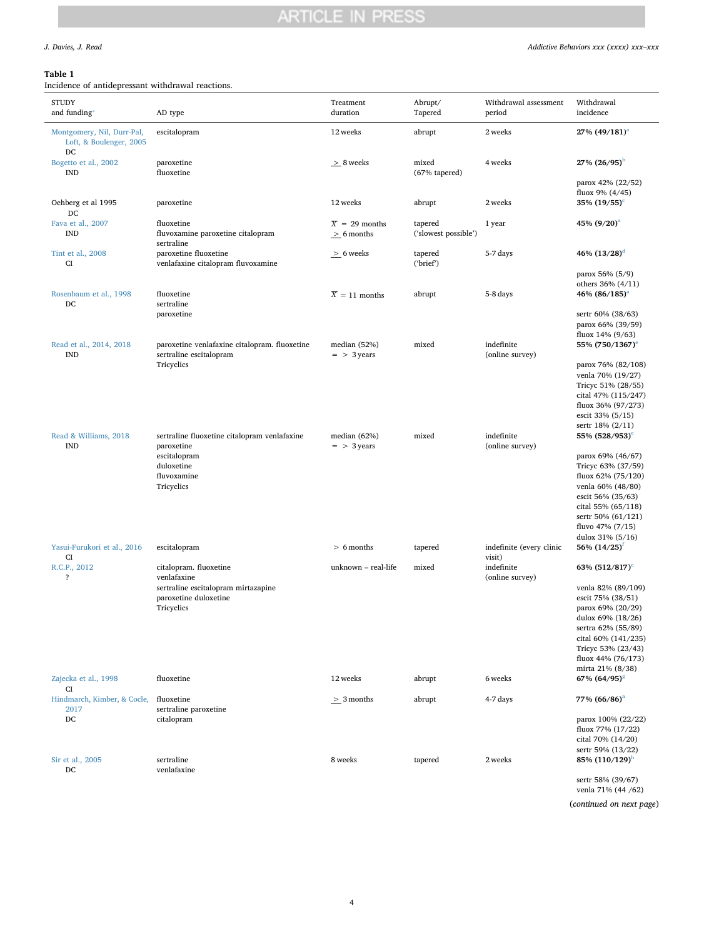# <span id="page-3-0"></span>**Table 1**

| <b>STUDY</b><br>and funding*                                | AD type                                                                  | Treatment<br>duration                         | Abrupt/<br>Tapered              | Withdrawal assessment<br>period    | Withdrawal<br>incidence                        |
|-------------------------------------------------------------|--------------------------------------------------------------------------|-----------------------------------------------|---------------------------------|------------------------------------|------------------------------------------------|
| Montgomery, Nil, Durr-Pal,<br>Loft, & Boulenger, 2005<br>DC | escitalopram                                                             | 12 weeks                                      | abrupt                          | 2 weeks                            | $27\%$ $(49/181)^{a}$                          |
| Bogetto et al., 2002<br><b>IND</b>                          | paroxetine<br>fluoxetine                                                 | $\geq 8$ weeks                                | mixed<br>(67% tapered)          | 4 weeks                            | $27\%$ $(26/95)^b$                             |
|                                                             |                                                                          |                                               |                                 |                                    | parox 42% (22/52)<br>fluox 9% (4/45)           |
| Oehberg et al 1995<br>DC                                    | paroxetine                                                               | 12 weeks                                      | abrupt                          | 2 weeks                            | $35\%~(19/55)^c$                               |
| Fava et al., 2007<br><b>IND</b>                             | fluoxetine<br>fluvoxamine paroxetine citalopram<br>sertraline            | $\overline{X}$ = 29 months<br>$\geq$ 6 months | tapered<br>('slowest possible') | 1 year                             | 45% $(9/20)^{a}$                               |
| Tint et al., 2008<br>CI                                     | paroxetine fluoxetine<br>venlafaxine citalopram fluvoxamine              | $\geq$ 6 weeks                                | tapered<br>('brief')            | 5-7 days                           | 46% $(13/28)^d$                                |
|                                                             |                                                                          |                                               |                                 |                                    | parox 56% (5/9)                                |
|                                                             | fluoxetine                                                               |                                               |                                 | 5-8 days                           | others $36\% (4/11)$                           |
| Rosenbaum et al., 1998<br>DC                                | sertraline<br>paroxetine                                                 | $\overline{X} = 11$ months                    | abrupt                          |                                    | 46% (86/185) <sup>a</sup><br>sertr 60% (38/63) |
|                                                             |                                                                          |                                               |                                 |                                    | parox 66% (39/59)                              |
|                                                             |                                                                          |                                               |                                 |                                    | fluox 14% (9/63)                               |
| Read et al., 2014, 2018<br><b>IND</b>                       | paroxetine venlafaxine citalopram. fluoxetine<br>sertraline escitalopram | median (52%)<br>$=$ > 3 years                 | mixed                           | indefinite<br>(online survey)      | 55% (750/1367) <sup>e</sup>                    |
|                                                             | Tricyclics                                                               |                                               |                                 |                                    | parox 76% (82/108)                             |
|                                                             |                                                                          |                                               |                                 |                                    | venla 70% (19/27)                              |
|                                                             |                                                                          |                                               |                                 |                                    | Tricyc 51% (28/55)                             |
|                                                             |                                                                          |                                               |                                 |                                    | cital 47% (115/247)                            |
|                                                             |                                                                          |                                               |                                 |                                    | fluox 36% (97/273)                             |
|                                                             |                                                                          |                                               |                                 |                                    | escit 33% (5/15)                               |
|                                                             |                                                                          |                                               |                                 |                                    | sertr 18% (2/11)                               |
| Read & Williams, 2018                                       | sertraline fluoxetine citalopram venlafaxine                             | median $(62%)$                                | mixed                           | indefinite                         | 55% (528/953) <sup>e</sup>                     |
| <b>IND</b>                                                  | paroxetine<br>escitalopram                                               | $=$ > 3 years                                 |                                 | (online survey)                    | parox 69% (46/67)                              |
|                                                             | duloxetine                                                               |                                               |                                 |                                    | Tricyc 63% (37/59)                             |
|                                                             | fluvoxamine                                                              |                                               |                                 |                                    | fluox 62% (75/120)                             |
|                                                             | Tricyclics                                                               |                                               |                                 |                                    | venla 60% (48/80)                              |
|                                                             |                                                                          |                                               |                                 |                                    | escit 56% (35/63)                              |
|                                                             |                                                                          |                                               |                                 |                                    | cital 55% (65/118)                             |
|                                                             |                                                                          |                                               |                                 |                                    | sertr 50% (61/121)                             |
|                                                             |                                                                          |                                               |                                 |                                    | fluvo 47% (7/15)                               |
|                                                             |                                                                          |                                               |                                 |                                    | dulox 31% (5/16)                               |
| Yasui-Furukori et al., 2016<br>CI                           | escitalopram                                                             | $> 6$ months                                  | tapered                         | indefinite (every clinic<br>visit) | 56% $(14/25)^{1}$                              |
| R.C.P., 2012<br>?                                           | citalopram. fluoxetine<br>venlafaxine                                    | unknown - real-life                           | mixed                           | indefinite<br>(online survey)      | 63% $(512/817)^e$                              |
|                                                             | sertraline escitalopram mirtazapine                                      |                                               |                                 |                                    | venla 82% (89/109)                             |
|                                                             | paroxetine duloxetine                                                    |                                               |                                 |                                    | escit 75% (38/51)<br>parox 69% (20/29)         |
|                                                             | Tricyclics                                                               |                                               |                                 |                                    | dulox 69% (18/26)                              |
|                                                             |                                                                          |                                               |                                 |                                    | sertra 62% (55/89)                             |
|                                                             |                                                                          |                                               |                                 |                                    | cital 60% (141/235)                            |
|                                                             |                                                                          |                                               |                                 |                                    | Tricyc 53% (23/43)                             |
|                                                             |                                                                          |                                               |                                 |                                    | fluox 44% (76/173)                             |
|                                                             |                                                                          |                                               |                                 |                                    | mirta 21% (8/38)                               |
| Zajecka et al., 1998<br>CI                                  | fluoxetine                                                               | 12 weeks                                      | abrupt                          | 6 weeks                            | 67% (64/95) <sup>8</sup>                       |
| Hindmarch, Kimber, & Cocle,<br>2017                         | fluoxetine<br>sertraline paroxetine                                      | $\geq$ 3 months                               | abrupt                          | 4-7 days                           | 77% (66/86) <sup>a</sup>                       |
| $_{\rm DC}$                                                 | citalopram                                                               |                                               |                                 |                                    | parox 100% (22/22)                             |
|                                                             |                                                                          |                                               |                                 |                                    | fluox 77% (17/22)                              |
|                                                             |                                                                          |                                               |                                 |                                    | cital 70% (14/20)                              |
|                                                             |                                                                          |                                               |                                 |                                    | sertr 59% (13/22)                              |
| Sir et al., 2005<br>DC                                      | sertraline<br>venlafaxine                                                | 8 weeks                                       | tapered                         | 2 weeks                            | 85% $(110/129)^n$                              |
|                                                             |                                                                          |                                               |                                 |                                    | sertr 58% (39/67)                              |

venla 71% (44 /62)

(*continued on next page*)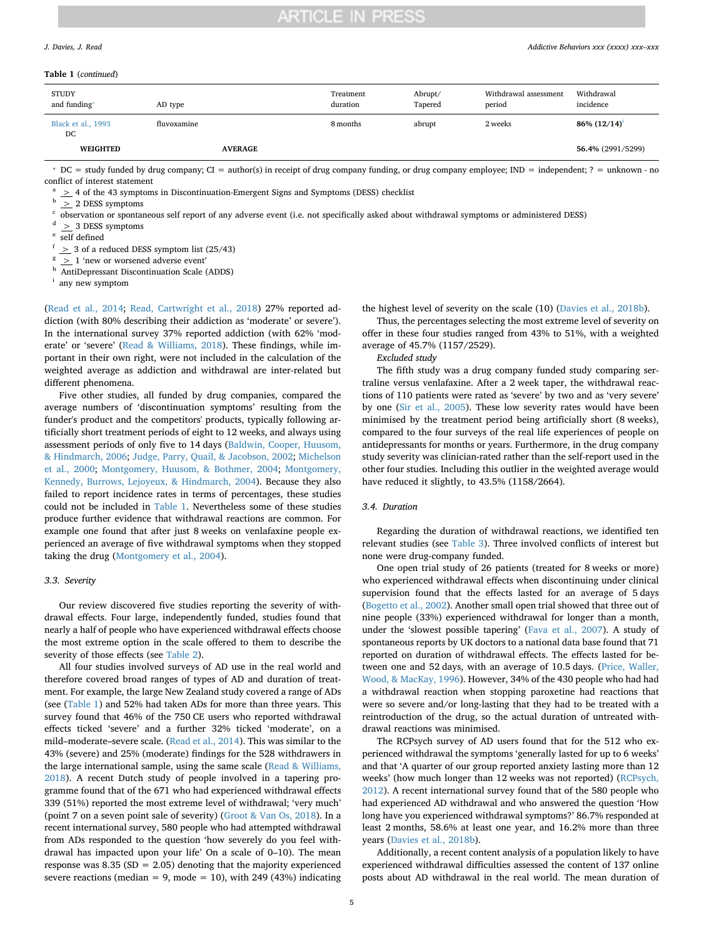#### **Table 1** (*continued*)

| <b>STUDY</b><br>and funding* | AD type        | Treatment<br>duration | Abrupt/<br>Tapered | Withdrawal assessment<br>period | Withdrawal<br>incidence |
|------------------------------|----------------|-----------------------|--------------------|---------------------------------|-------------------------|
| Black et al., 1993<br>DC     | fluvoxamine    | 8 months              | abrupt             | 2 weeks                         | $86\% (12/14)^1$        |
| <b>WEIGHTED</b>              | <b>AVERAGE</b> |                       |                    |                                 | 56.4% (2991/5299)       |

<span id="page-4-0"></span>⁎ DC = study funded by drug company; CI = author(s) in receipt of drug company funding, or drug company employee; IND = independent; ? = unknown - no conflict of interest statement

<span id="page-4-1"></span><sup>a</sup>  $\geq$  4 of the 43 symptoms in Discontinuation-Emergent Signs and Symptoms (DESS) checklist

<span id="page-4-2"></span><sup>b</sup> > 2 DESS symptoms

<span id="page-4-3"></span><sup>c</sup> observation or spontaneous self report of any adverse event (i.e. not specifically asked about withdrawal symptoms or administered DESS)

<span id="page-4-4"></span> $\geq$  3 DESS symptoms

<span id="page-4-5"></span>self defined

<span id="page-4-6"></span><sup>f</sup> > 3 of a reduced DESS symptom list (25/43)

<span id="page-4-7"></span> $\frac{g}{g}$   $\geq$  1 'new or worsened adverse event'

<span id="page-4-8"></span>h AntiDepressant Discontinuation Scale (ADDS)

<span id="page-4-9"></span><sup>i</sup> any new symptom

([Read et al., 2014](#page-9-12); [Read, Cartwright et al., 2018\)](#page-9-12) 27% reported addiction (with 80% describing their addiction as 'moderate' or severe'). In the international survey 37% reported addiction (with 62% 'moderate' or 'severe' ([Read & Williams, 2018](#page-9-15)). These findings, while important in their own right, were not included in the calculation of the weighted average as addiction and withdrawal are inter-related but different phenomena.

Five other studies, all funded by drug companies, compared the average numbers of 'discontinuation symptoms' resulting from the funder's product and the competitors' products, typically following artificially short treatment periods of eight to 12 weeks, and always using assessment periods of only five to 14 days [\(Baldwin, Cooper, Huusom,](#page-8-16) [& Hindmarch, 2006;](#page-8-16) [Judge, Parry, Quail, & Jacobson, 2002](#page-9-26); [Michelson](#page-9-27) [et al., 2000](#page-9-27); [Montgomery, Huusom, & Bothmer, 2004;](#page-9-28) [Montgomery,](#page-9-29) [Kennedy, Burrows, Lejoyeux, & Hindmarch, 2004\)](#page-9-29). Because they also failed to report incidence rates in terms of percentages, these studies could not be included in [Table 1.](#page-3-0) Nevertheless some of these studies produce further evidence that withdrawal reactions are common. For example one found that after just 8 weeks on venlafaxine people experienced an average of five withdrawal symptoms when they stopped taking the drug [\(Montgomery et al., 2004\)](#page-9-28).

### *3.3. Severity*

Our review discovered five studies reporting the severity of withdrawal effects. Four large, independently funded, studies found that nearly a half of people who have experienced withdrawal effects choose the most extreme option in the scale offered to them to describe the severity of those effects (see [Table 2](#page-5-0)).

All four studies involved surveys of AD use in the real world and therefore covered broad ranges of types of AD and duration of treatment. For example, the large New Zealand study covered a range of ADs (see [\(Table 1\)](#page-3-0) and 52% had taken ADs for more than three years. This survey found that 46% of the 750 CE users who reported withdrawal effects ticked 'severe' and a further 32% ticked 'moderate', on a mild–moderate–severe scale. ([Read et al., 2014\)](#page-9-13). This was similar to the 43% (severe) and 25% (moderate) findings for the 528 withdrawers in the large international sample, using the same scale [\(Read & Williams,](#page-9-15) [2018\)](#page-9-15). A recent Dutch study of people involved in a tapering programme found that of the 671 who had experienced withdrawal effects 339 (51%) reported the most extreme level of withdrawal; 'very much' (point 7 on a seven point sale of severity) ([Groot & Van Os, 2018\)](#page-9-25). In a recent international survey, 580 people who had attempted withdrawal from ADs responded to the question 'how severely do you feel withdrawal has impacted upon your life' On a scale of 0–10). The mean response was  $8.35$  (SD = 2.05) denoting that the majority experienced severe reactions (median = 9, mode = 10), with 249 (43%) indicating the highest level of severity on the scale (10) ([Davies et al., 2018b\)](#page-8-10).

Thus, the percentages selecting the most extreme level of severity on offer in these four studies ranged from 43% to 51%, with a weighted average of 45.7% (1157/2529).

*Excluded study*

The fifth study was a drug company funded study comparing sertraline versus venlafaxine. After a 2 week taper, the withdrawal reactions of 110 patients were rated as 'severe' by two and as 'very severe' by one [\(Sir et al., 2005\)](#page-9-17). These low severity rates would have been minimised by the treatment period being artificially short (8 weeks), compared to the four surveys of the real life experiences of people on antidepressants for months or years. Furthermore, in the drug company study severity was clinician-rated rather than the self-report used in the other four studies. Including this outlier in the weighted average would have reduced it slightly, to 43.5% (1158/2664).

## *3.4. Duration*

Regarding the duration of withdrawal reactions, we identified ten relevant studies (see [Table 3](#page-5-1)). Three involved conflicts of interest but none were drug-company funded.

One open trial study of 26 patients (treated for 8 weeks or more) who experienced withdrawal effects when discontinuing under clinical supervision found that the effects lasted for an average of 5 days ([Bogetto et al., 2002\)](#page-8-14). Another small open trial showed that three out of nine people (33%) experienced withdrawal for longer than a month, under the 'slowest possible tapering' [\(Fava et al., 2007](#page-8-13)). A study of spontaneous reports by UK doctors to a national data base found that 71 reported on duration of withdrawal effects. The effects lasted for between one and 52 days, with an average of 10.5 days. [\(Price, Waller,](#page-9-30) [Wood, & MacKay, 1996](#page-9-30)). However, 34% of the 430 people who had had a withdrawal reaction when stopping paroxetine had reactions that were so severe and/or long-lasting that they had to be treated with a reintroduction of the drug, so the actual duration of untreated withdrawal reactions was minimised.

The RCPsych survey of AD users found that for the 512 who experienced withdrawal the symptoms 'generally lasted for up to 6 weeks' and that 'A quarter of our group reported anxiety lasting more than 12 weeks' (how much longer than 12 weeks was not reported) ([RCPsych,](#page-9-14) [2012\)](#page-9-14). A recent international survey found that of the 580 people who had experienced AD withdrawal and who answered the question 'How long have you experienced withdrawal symptoms?' 86.7% responded at least 2 months, 58.6% at least one year, and 16.2% more than three years ([Davies et al., 2018b\)](#page-8-10).

Additionally, a recent content analysis of a population likely to have experienced withdrawal difficulties assessed the content of 137 online posts about AD withdrawal in the real world. The mean duration of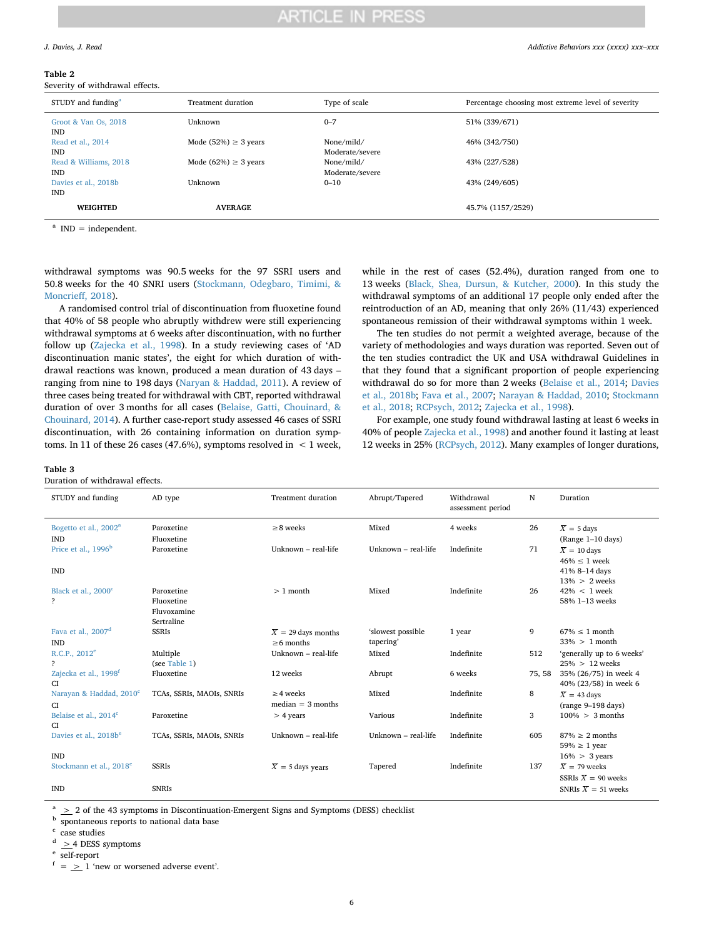#### <span id="page-5-0"></span>**Table 2**

Severity of withdrawal effects.

| STUDY and funding <sup>a</sup>      | Treatment duration        | Type of scale                 | Percentage choosing most extreme level of severity |
|-------------------------------------|---------------------------|-------------------------------|----------------------------------------------------|
| Groot & Van Os, 2018<br><b>IND</b>  | Unknown                   | $0 - 7$                       | 51% (339/671)                                      |
| Read et al., 2014<br><b>IND</b>     | Mode (52%) $\geq$ 3 years | None/mild/<br>Moderate/severe | 46% (342/750)                                      |
| Read & Williams, 2018<br><b>IND</b> | Mode $(62%) \geq 3$ years | None/mild/<br>Moderate/severe | 43% (227/528)                                      |
| Davies et al., 2018b<br><b>IND</b>  | Unknown                   | $0 - 10$                      | 43% (249/605)                                      |
| <b>WEIGHTED</b>                     | <b>AVERAGE</b>            |                               | 45.7% (1157/2529)                                  |

<span id="page-5-2"></span> $^{\text{a}}$  IND = independent.

withdrawal symptoms was 90.5 weeks for the 97 SSRI users and 50.8 weeks for the 40 SNRI users ([Stockmann, Odegbaro, Timimi, &](#page-9-31) [Moncrieff, 2018\)](#page-9-31).

A randomised control trial of discontinuation from fluoxetine found that 40% of 58 people who abruptly withdrew were still experiencing withdrawal symptoms at 6 weeks after discontinuation, with no further follow up ([Zajecka et al., 1998](#page-9-18)). In a study reviewing cases of 'AD discontinuation manic states', the eight for which duration of withdrawal reactions was known, produced a mean duration of 43 days – ranging from nine to 198 days ([Naryan & Haddad, 2011](#page-9-8)). A review of three cases being treated for withdrawal with CBT, reported withdrawal duration of over 3 months for all cases ([Belaise, Gatti, Chouinard, &](#page-8-17) [Chouinard, 2014\)](#page-8-17). A further case-report study assessed 46 cases of SSRI discontinuation, with 26 containing information on duration symptoms. In 11 of these 26 cases (47.6%), symptoms resolved in  $\leq 1$  week,

while in the rest of cases (52.4%), duration ranged from one to 13 weeks ([Black, Shea, Dursun, & Kutcher, 2000\)](#page-8-18). In this study the withdrawal symptoms of an additional 17 people only ended after the reintroduction of an AD, meaning that only 26% (11/43) experienced spontaneous remission of their withdrawal symptoms within 1 week.

The ten studies do not permit a weighted average, because of the variety of methodologies and ways duration was reported. Seven out of the ten studies contradict the UK and USA withdrawal Guidelines in that they found that a significant proportion of people experiencing withdrawal do so for more than 2 weeks ([Belaise et al., 2014](#page-8-17); [Davies](#page-8-10) [et al., 2018b;](#page-8-10) [Fava et al., 2007](#page-8-13); [Narayan & Haddad, 2010;](#page-9-32) [Stockmann](#page-9-31) [et al., 2018](#page-9-31); [RCPsych, 2012;](#page-9-14) [Zajecka et al., 1998\)](#page-9-18).

For example, one study found withdrawal lasting at least 6 weeks in 40% of people [Zajecka et al., 1998\)](#page-9-18) and another found it lasting at least 12 weeks in 25% [\(RCPsych, 2012](#page-9-14)). Many examples of longer durations,

#### <span id="page-5-1"></span>**Table 3**

Duration of withdrawal effects.

| STUDY and funding                                          | AD type                                               | <b>Treatment duration</b>                      | Abrupt/Tapered                 | Withdrawal<br>assessment period | N      | Duration                                                                            |
|------------------------------------------------------------|-------------------------------------------------------|------------------------------------------------|--------------------------------|---------------------------------|--------|-------------------------------------------------------------------------------------|
| Bogetto et al., 2002 <sup>a</sup><br><b>IND</b>            | Paroxetine<br>Fluoxetine                              | $\geq$ 8 weeks                                 | Mixed                          | 4 weeks                         | 26     | $\overline{X}$ = 5 days<br>(Range 1-10 days)                                        |
| Price et al., 1996 <sup>b</sup><br><b>IND</b>              | Paroxetine                                            | Unknown - real-life                            | Unknown - real-life            | Indefinite                      | 71     | $\overline{X} = 10$ days<br>$46\% \leq 1$ week<br>41% 8-14 days<br>$13\% > 2$ weeks |
| Black et al., 2000 <sup>c</sup><br>$\overline{\mathbf{?}}$ | Paroxetine<br>Fluoxetine<br>Fluvoxamine<br>Sertraline | $>1$ month                                     | Mixed                          | Indefinite                      | 26     | $42\% < 1$ week<br>58% 1-13 weeks                                                   |
| Fava et al., 2007 <sup>d</sup><br><b>IND</b>               | <b>SSRIs</b>                                          | $\overline{X}$ = 29 days months<br>$>6$ months | 'slowest possible<br>tapering' | 1 year                          | 9      | $67\% \leq 1$ month<br>$33\% > 1$ month                                             |
| R.C.P., 2012 <sup>e</sup><br>$\overline{?}$                | Multiple<br>(see Table 1)                             | Unknown - real-life                            | Mixed                          | Indefinite                      | 512    | 'generally up to 6 weeks'<br>$25\% > 12$ weeks                                      |
| Zajecka et al., 1998 <sup>f</sup><br><b>CI</b>             | Fluoxetine                                            | 12 weeks                                       | Abrupt                         | 6 weeks                         | 75, 58 | 35% (26/75) in week 4<br>40% (23/58) in week 6                                      |
| Narayan & Haddad, 2010 <sup>c</sup><br><b>CI</b>           | TCAs, SSRIs, MAOIs, SNRIs                             | $\geq$ 4 weeks<br>$median = 3 months$          | Mixed                          | Indefinite                      | 8      | $\overline{X}$ = 43 days<br>$(range 9-198 days)$                                    |
| Belaise et al., 2014 <sup>c</sup><br>CI.                   | Paroxetine                                            | $> 4$ years                                    | Various                        | Indefinite                      | 3      | $100\% > 3$ months                                                                  |
| Davies et al., 2018b <sup>e</sup>                          | TCAs, SSRIs, MAOIs, SNRIs                             | Unknown $-$ real-life                          | Unknown - real-life            | Indefinite                      | 605    | $87\% > 2$ months<br>$59\% \geq 1$ year                                             |
| <b>IND</b><br>Stockmann et al., 2018 <sup>e</sup>          | <b>SSRIs</b>                                          | $\overline{X}$ = 5 days years                  | Tapered                        | Indefinite                      | 137    | $16\% > 3$ years<br>$\overline{X}$ = 79 weeks                                       |
| <b>IND</b>                                                 | <b>SNRIs</b>                                          |                                                |                                |                                 |        | SSRIs $\overline{X}$ = 90 weeks<br>SNRIs $\overline{X}$ = 51 weeks                  |

<span id="page-5-3"></span> $a > 2$  of the 43 symptoms in Discontinuation-Emergent Signs and Symptoms (DESS) checklist

<span id="page-5-4"></span>b spontaneous reports to national data base

<span id="page-5-5"></span>case studies

<span id="page-5-6"></span> $\geq$  4 DESS symptoms

<span id="page-5-7"></span>self-report

<span id="page-5-8"></span> $f = \frac{1}{2}$  1 'new or worsened adverse event'.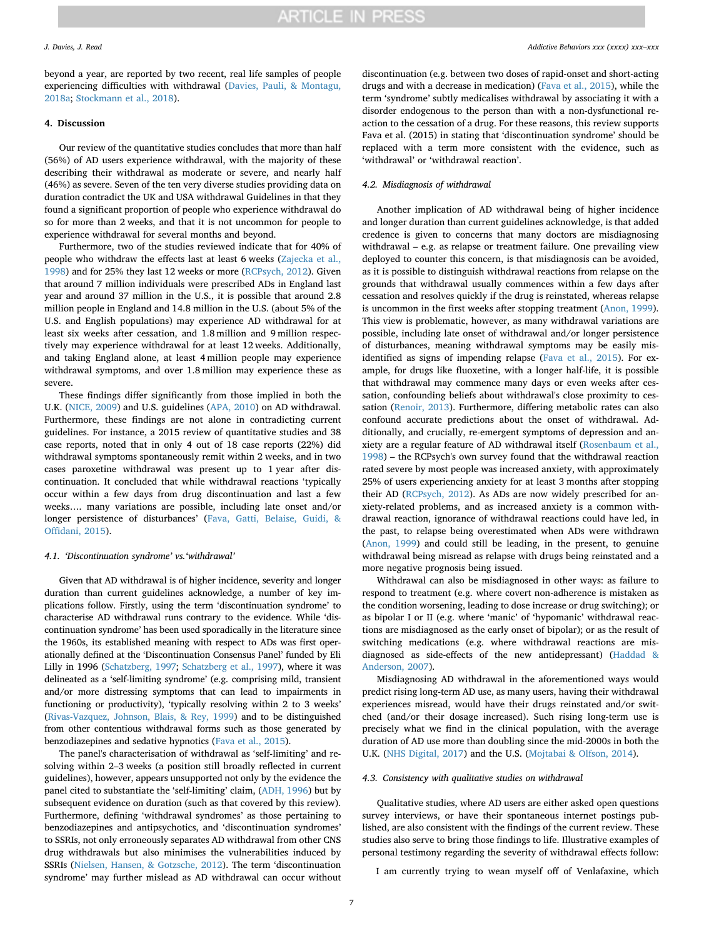beyond a year, are reported by two recent, real life samples of people experiencing difficulties with withdrawal [\(Davies, Pauli, & Montagu,](#page-8-19) [2018a;](#page-8-19) [Stockmann et al., 2018\)](#page-9-31).

### **4. Discussion**

Our review of the quantitative studies concludes that more than half (56%) of AD users experience withdrawal, with the majority of these describing their withdrawal as moderate or severe, and nearly half (46%) as severe. Seven of the ten very diverse studies providing data on duration contradict the UK and USA withdrawal Guidelines in that they found a significant proportion of people who experience withdrawal do so for more than 2 weeks, and that it is not uncommon for people to experience withdrawal for several months and beyond.

Furthermore, two of the studies reviewed indicate that for 40% of people who withdraw the effects last at least 6 weeks [\(Zajecka et al.,](#page-9-18) [1998\)](#page-9-18) and for 25% they last 12 weeks or more [\(RCPsych, 2012\)](#page-9-14). Given that around 7 million individuals were prescribed ADs in England last year and around 37 million in the U.S., it is possible that around 2.8 million people in England and 14.8 million in the U.S. (about 5% of the U.S. and English populations) may experience AD withdrawal for at least six weeks after cessation, and 1.8 million and 9 million respectively may experience withdrawal for at least 12 weeks. Additionally, and taking England alone, at least 4 million people may experience withdrawal symptoms, and over 1.8 million may experience these as severe.

These findings differ significantly from those implied in both the U.K. [\(NICE, 2009\)](#page-9-10) and U.S. guidelines [\(APA, 2010](#page-8-9)) on AD withdrawal. Furthermore, these findings are not alone in contradicting current guidelines. For instance, a 2015 review of quantitative studies and 38 case reports, noted that in only 4 out of 18 case reports (22%) did withdrawal symptoms spontaneously remit within 2 weeks, and in two cases paroxetine withdrawal was present up to 1 year after discontinuation. It concluded that while withdrawal reactions 'typically occur within a few days from drug discontinuation and last a few weeks…. many variations are possible, including late onset and/or longer persistence of disturbances' ([Fava, Gatti, Belaise, Guidi, &](#page-8-20) [Offidani, 2015](#page-8-20)).

### *4.1. 'Discontinuation syndrome' vs.'withdrawal'*

Given that AD withdrawal is of higher incidence, severity and longer duration than current guidelines acknowledge, a number of key implications follow. Firstly, using the term 'discontinuation syndrome' to characterise AD withdrawal runs contrary to the evidence. While 'discontinuation syndrome' has been used sporadically in the literature since the 1960s, its established meaning with respect to ADs was first operationally defined at the 'Discontinuation Consensus Panel' funded by Eli Lilly in 1996 ([Schatzberg, 1997](#page-9-33); [Schatzberg et al., 1997](#page-9-34)), where it was delineated as a 'self-limiting syndrome' (e.g. comprising mild, transient and/or more distressing symptoms that can lead to impairments in functioning or productivity), 'typically resolving within 2 to 3 weeks' ([Rivas-Vazquez, Johnson, Blais, & Rey, 1999\)](#page-9-35) and to be distinguished from other contentious withdrawal forms such as those generated by benzodiazepines and sedative hypnotics [\(Fava et al., 2015](#page-8-20)).

The panel's characterisation of withdrawal as 'self-limiting' and resolving within 2–3 weeks (a position still broadly reflected in current guidelines), however, appears unsupported not only by the evidence the panel cited to substantiate the 'self-limiting' claim, ([ADH, 1996\)](#page-8-21) but by subsequent evidence on duration (such as that covered by this review). Furthermore, defining 'withdrawal syndromes' as those pertaining to benzodiazepines and antipsychotics, and 'discontinuation syndromes' to SSRIs, not only erroneously separates AD withdrawal from other CNS drug withdrawals but also minimises the vulnerabilities induced by SSRIs ([Nielsen, Hansen, & Gotzsche, 2012](#page-9-36)). The term 'discontinuation syndrome' may further mislead as AD withdrawal can occur without

discontinuation (e.g. between two doses of rapid-onset and short-acting drugs and with a decrease in medication) [\(Fava et al., 2015](#page-8-20)), while the term 'syndrome' subtly medicalises withdrawal by associating it with a disorder endogenous to the person than with a non-dysfunctional reaction to the cessation of a drug. For these reasons, this review supports Fava et al. (2015) in stating that 'discontinuation syndrome' should be replaced with a term more consistent with the evidence, such as 'withdrawal' or 'withdrawal reaction'.

### *4.2. Misdiagnosis of withdrawal*

Another implication of AD withdrawal being of higher incidence and longer duration than current guidelines acknowledge, is that added credence is given to concerns that many doctors are misdiagnosing withdrawal – e.g. as relapse or treatment failure. One prevailing view deployed to counter this concern, is that misdiagnosis can be avoided, as it is possible to distinguish withdrawal reactions from relapse on the grounds that withdrawal usually commences within a few days after cessation and resolves quickly if the drug is reinstated, whereas relapse is uncommon in the first weeks after stopping treatment [\(Anon, 1999](#page-8-6)). This view is problematic, however, as many withdrawal variations are possible, including late onset of withdrawal and/or longer persistence of disturbances, meaning withdrawal symptoms may be easily misidentified as signs of impending relapse ([Fava et al., 2015\)](#page-8-20). For example, for drugs like fluoxetine, with a longer half-life, it is possible that withdrawal may commence many days or even weeks after cessation, confounding beliefs about withdrawal's close proximity to cessation ([Renoir, 2013](#page-9-37)). Furthermore, differing metabolic rates can also confound accurate predictions about the onset of withdrawal. Additionally, and crucially, re-emergent symptoms of depression and anxiety are a regular feature of AD withdrawal itself [\(Rosenbaum et al.,](#page-9-19) [1998\)](#page-9-19) – the RCPsych's own survey found that the withdrawal reaction rated severe by most people was increased anxiety, with approximately 25% of users experiencing anxiety for at least 3 months after stopping their AD [\(RCPsych, 2012](#page-9-14)). As ADs are now widely prescribed for anxiety-related problems, and as increased anxiety is a common withdrawal reaction, ignorance of withdrawal reactions could have led, in the past, to relapse being overestimated when ADs were withdrawn ([Anon, 1999](#page-8-6)) and could still be leading, in the present, to genuine withdrawal being misread as relapse with drugs being reinstated and a more negative prognosis being issued.

Withdrawal can also be misdiagnosed in other ways: as failure to respond to treatment (e.g. where covert non-adherence is mistaken as the condition worsening, leading to dose increase or drug switching); or as bipolar I or II (e.g. where 'manic' of 'hypomanic' withdrawal reactions are misdiagnosed as the early onset of bipolar); or as the result of switching medications (e.g. where withdrawal reactions are misdiagnosed as side-effects of the new antidepressant) ([Haddad &](#page-9-38) [Anderson, 2007\)](#page-9-38).

Misdiagnosing AD withdrawal in the aforementioned ways would predict rising long-term AD use, as many users, having their withdrawal experiences misread, would have their drugs reinstated and/or switched (and/or their dosage increased). Such rising long-term use is precisely what we find in the clinical population, with the average duration of AD use more than doubling since the mid-2000s in both the U.K. [\(NHS Digital, 2017](#page-9-0)) and the U.S. ([Mojtabai & Olfson, 2014](#page-9-2)).

### *4.3. Consistency with qualitative studies on withdrawal*

Qualitative studies, where AD users are either asked open questions survey interviews, or have their spontaneous internet postings published, are also consistent with the findings of the current review. These studies also serve to bring those findings to life. Illustrative examples of personal testimony regarding the severity of withdrawal effects follow:

I am currently trying to wean myself off of Venlafaxine, which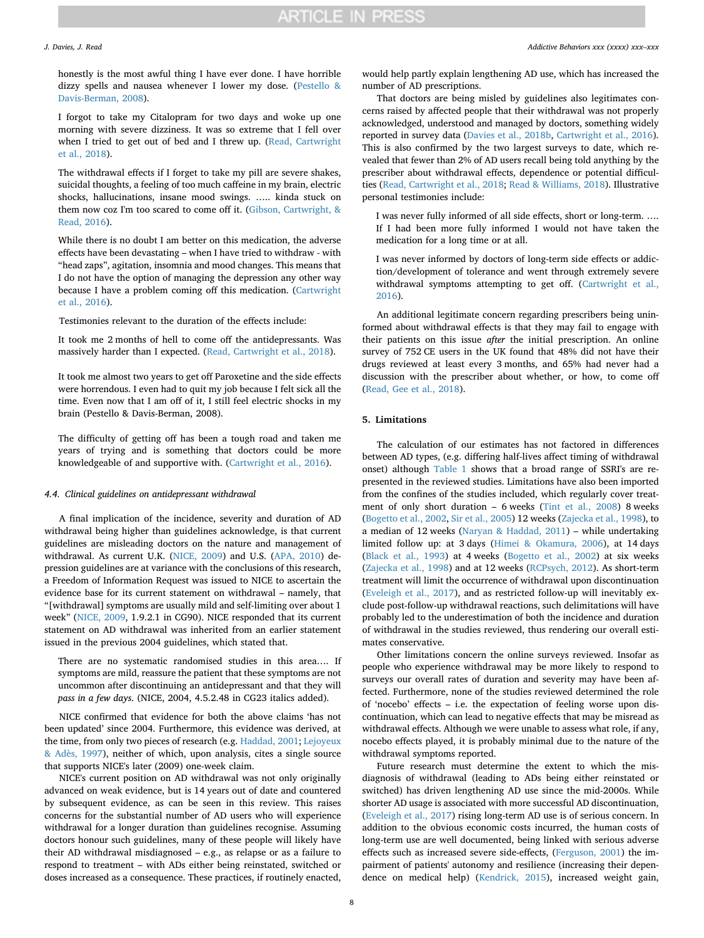honestly is the most awful thing I have ever done. I have horrible dizzy spells and nausea whenever I lower my dose. [\(Pestello &](#page-9-39) [Davis-Berman, 2008](#page-9-39)).

I forgot to take my Citalopram for two days and woke up one morning with severe dizziness. It was so extreme that I fell over when I tried to get out of bed and I threw up. [\(Read, Cartwright](#page-9-12) [et al., 2018](#page-9-12)).

The withdrawal effects if I forget to take my pill are severe shakes, suicidal thoughts, a feeling of too much caffeine in my brain, electric shocks, hallucinations, insane mood swings. ….. kinda stuck on them now coz I'm too scared to come off it. ([Gibson, Cartwright, &](#page-9-40) [Read, 2016\)](#page-9-40).

While there is no doubt I am better on this medication, the adverse effects have been devastating – when I have tried to withdraw - with "head zaps", agitation, insomnia and mood changes. This means that I do not have the option of managing the depression any other way because I have a problem coming off this medication. ([Cartwright](#page-8-11) [et al., 2016](#page-8-11)).

Testimonies relevant to the duration of the effects include:

It took me 2 months of hell to come off the antidepressants. Was massively harder than I expected. [\(Read, Cartwright et al., 2018](#page-9-12)).

It took me almost two years to get off Paroxetine and the side effects were horrendous. I even had to quit my job because I felt sick all the time. Even now that I am off of it, I still feel electric shocks in my brain (Pestello & Davis-Berman, 2008).

The difficulty of getting off has been a tough road and taken me years of trying and is something that doctors could be more knowledgeable of and supportive with. [\(Cartwright et al., 2016\)](#page-8-11).

### *4.4. Clinical guidelines on antidepressant withdrawal*

A final implication of the incidence, severity and duration of AD withdrawal being higher than guidelines acknowledge, is that current guidelines are misleading doctors on the nature and management of withdrawal. As current U.K. ([NICE, 2009](#page-9-10)) and U.S. [\(APA, 2010](#page-8-9)) depression guidelines are at variance with the conclusions of this research, a Freedom of Information Request was issued to NICE to ascertain the evidence base for its current statement on withdrawal – namely, that "[withdrawal] symptoms are usually mild and self-limiting over about 1 week" [\(NICE, 2009](#page-9-10), 1.9.2.1 in CG90). NICE responded that its current statement on AD withdrawal was inherited from an earlier statement issued in the previous 2004 guidelines, which stated that.

There are no systematic randomised studies in this area…. If symptoms are mild, reassure the patient that these symptoms are not uncommon after discontinuing an antidepressant and that they will *pass in a few days*. (NICE, 2004, 4.5.2.48 in CG23 italics added).

NICE confirmed that evidence for both the above claims 'has not been updated' since 2004. Furthermore, this evidence was derived, at the time, from only two pieces of research (e.g. [Haddad, 2001;](#page-9-41) [Lejoyeux](#page-9-42) [& Adès, 1997\)](#page-9-42), neither of which, upon analysis, cites a single source that supports NICE's later (2009) one-week claim.

NICE's current position on AD withdrawal was not only originally advanced on weak evidence, but is 14 years out of date and countered by subsequent evidence, as can be seen in this review. This raises concerns for the substantial number of AD users who will experience withdrawal for a longer duration than guidelines recognise. Assuming doctors honour such guidelines, many of these people will likely have their AD withdrawal misdiagnosed – e.g., as relapse or as a failure to respond to treatment – with ADs either being reinstated, switched or doses increased as a consequence. These practices, if routinely enacted,

would help partly explain lengthening AD use, which has increased the number of AD prescriptions.

That doctors are being misled by guidelines also legitimates concerns raised by affected people that their withdrawal was not properly acknowledged, understood and managed by doctors, something widely reported in survey data [\(Davies et al., 2018b](#page-8-10), [Cartwright et al., 2016](#page-8-11)). This is also confirmed by the two largest surveys to date, which revealed that fewer than 2% of AD users recall being told anything by the prescriber about withdrawal effects, dependence or potential difficulties [\(Read, Cartwright et al., 2018](#page-9-12); [Read & Williams, 2018\)](#page-9-15). Illustrative personal testimonies include:

I was never fully informed of all side effects, short or long-term. …. If I had been more fully informed I would not have taken the medication for a long time or at all.

I was never informed by doctors of long-term side effects or addiction/development of tolerance and went through extremely severe withdrawal symptoms attempting to get off. ([Cartwright et al.,](#page-8-11) [2016](#page-8-11)).

An additional legitimate concern regarding prescribers being uninformed about withdrawal effects is that they may fail to engage with their patients on this issue *after* the initial prescription. An online survey of 752 CE users in the UK found that 48% did not have their drugs reviewed at least every 3 months, and 65% had never had a discussion with the prescriber about whether, or how, to come off ([Read, Gee et al., 2018\)](#page-9-3).

### **5. Limitations**

The calculation of our estimates has not factored in differences between AD types, (e.g. differing half-lives affect timing of withdrawal onset) although [Table 1](#page-3-0) shows that a broad range of SSRI's are represented in the reviewed studies. Limitations have also been imported from the confines of the studies included, which regularly cover treatment of only short duration – 6 weeks ([Tint et al., 2008](#page-9-21)) 8 weeks ([Bogetto et al., 2002,](#page-8-14) [Sir et al., 2005\)](#page-9-17) 12 weeks [\(Zajecka et al., 1998](#page-9-18)), to a median of 12 weeks [\(Naryan & Haddad, 2011](#page-9-8)) – while undertaking limited follow up: at 3 days [\(Himei & Okamura, 2006](#page-9-24)), at 14 days ([Black et al., 1993\)](#page-8-12) at 4 weeks ([Bogetto et al., 2002](#page-8-14)) at six weeks ([Zajecka et al., 1998\)](#page-9-18) and at 12 weeks [\(RCPsych, 2012\)](#page-9-14). As short-term treatment will limit the occurrence of withdrawal upon discontinuation ([Eveleigh et al., 2017](#page-8-22)), and as restricted follow-up will inevitably exclude post-follow-up withdrawal reactions, such delimitations will have probably led to the underestimation of both the incidence and duration of withdrawal in the studies reviewed, thus rendering our overall estimates conservative.

Other limitations concern the online surveys reviewed. Insofar as people who experience withdrawal may be more likely to respond to surveys our overall rates of duration and severity may have been affected. Furthermore, none of the studies reviewed determined the role of 'nocebo' effects – i.e. the expectation of feeling worse upon discontinuation, which can lead to negative effects that may be misread as withdrawal effects. Although we were unable to assess what role, if any, nocebo effects played, it is probably minimal due to the nature of the withdrawal symptoms reported.

Future research must determine the extent to which the misdiagnosis of withdrawal (leading to ADs being either reinstated or switched) has driven lengthening AD use since the mid-2000s. While shorter AD usage is associated with more successful AD discontinuation, ([Eveleigh et al., 2017](#page-8-22)) rising long-term AD use is of serious concern. In addition to the obvious economic costs incurred, the human costs of long-term use are well documented, being linked with serious adverse effects such as increased severe side-effects, [\(Ferguson, 2001\)](#page-8-23) the impairment of patients' autonomy and resilience (increasing their dependence on medical help) ([Kendrick, 2015](#page-9-43)), increased weight gain,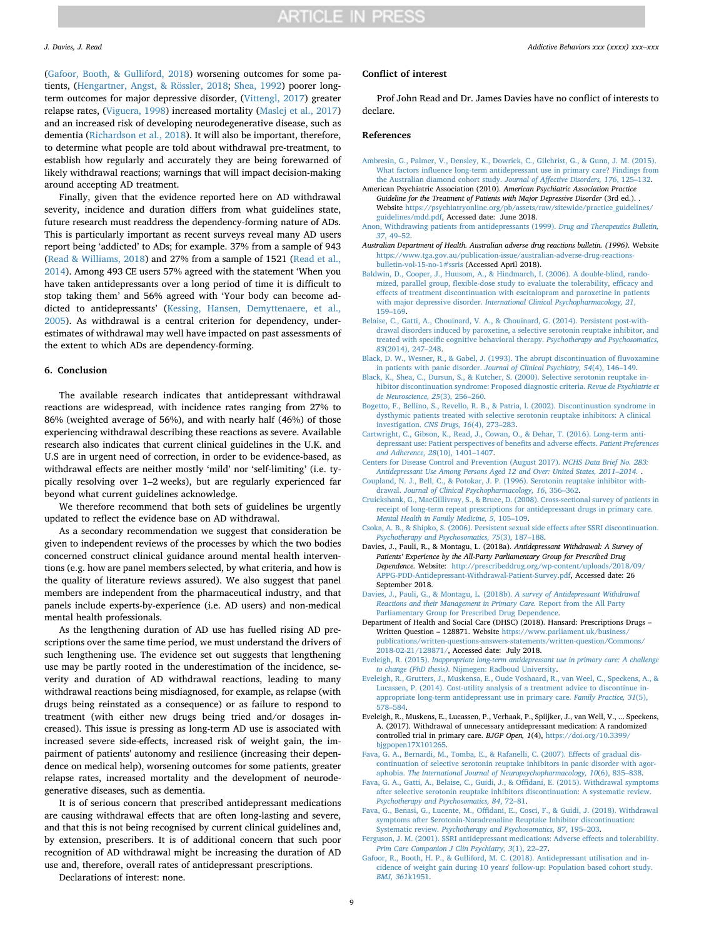([Gafoor, Booth, & Gulliford, 2018](#page-8-24)) worsening outcomes for some patients, [\(Hengartner, Angst, & Rössler, 2018](#page-9-44); [Shea, 1992](#page-9-45)) poorer longterm outcomes for major depressive disorder, ([Vittengl, 2017\)](#page-9-46) greater relapse rates, ([Viguera, 1998](#page-9-47)) increased mortality ([Maslej et al., 2017\)](#page-9-48) and an increased risk of developing neurodegenerative disease, such as dementia ([Richardson et al., 2018](#page-9-49)). It will also be important, therefore, to determine what people are told about withdrawal pre-treatment, to establish how regularly and accurately they are being forewarned of likely withdrawal reactions; warnings that will impact decision-making around accepting AD treatment.

Finally, given that the evidence reported here on AD withdrawal severity, incidence and duration differs from what guidelines state, future research must readdress the dependency-forming nature of ADs. This is particularly important as recent surveys reveal many AD users report being 'addicted' to ADs; for example. 37% from a sample of 943 ([Read & Williams, 2018\)](#page-9-15) and 27% from a sample of 1521 [\(Read et al.,](#page-9-13) [2014\)](#page-9-13). Among 493 CE users 57% agreed with the statement 'When you have taken antidepressants over a long period of time it is difficult to stop taking them' and 56% agreed with 'Your body can become addicted to antidepressants' ([Kessing, Hansen, Demyttenaere, et al.,](#page-9-50) [2005\)](#page-9-50). As withdrawal is a central criterion for dependency, underestimates of withdrawal may well have impacted on past assessments of the extent to which ADs are dependency-forming.

#### **6. Conclusion**

The available research indicates that antidepressant withdrawal reactions are widespread, with incidence rates ranging from 27% to 86% (weighted average of 56%), and with nearly half (46%) of those experiencing withdrawal describing these reactions as severe. Available research also indicates that current clinical guidelines in the U.K. and U.S are in urgent need of correction, in order to be evidence-based, as withdrawal effects are neither mostly 'mild' nor 'self-limiting' (i.e. typically resolving over 1–2 weeks), but are regularly experienced far beyond what current guidelines acknowledge.

We therefore recommend that both sets of guidelines be urgently updated to reflect the evidence base on AD withdrawal.

As a secondary recommendation we suggest that consideration be given to independent reviews of the processes by which the two bodies concerned construct clinical guidance around mental health interventions (e.g. how are panel members selected, by what criteria, and how is the quality of literature reviews assured). We also suggest that panel members are independent from the pharmaceutical industry, and that panels include experts-by-experience (i.e. AD users) and non-medical mental health professionals.

As the lengthening duration of AD use has fuelled rising AD prescriptions over the same time period, we must understand the drivers of such lengthening use. The evidence set out suggests that lengthening use may be partly rooted in the underestimation of the incidence, severity and duration of AD withdrawal reactions, leading to many withdrawal reactions being misdiagnosed, for example, as relapse (with drugs being reinstated as a consequence) or as failure to respond to treatment (with either new drugs being tried and/or dosages increased). This issue is pressing as long-term AD use is associated with increased severe side-effects, increased risk of weight gain, the impairment of patients' autonomy and resilience (increasing their dependence on medical help), worsening outcomes for some patients, greater relapse rates, increased mortality and the development of neurodegenerative diseases, such as dementia.

It is of serious concern that prescribed antidepressant medications are causing withdrawal effects that are often long-lasting and severe, and that this is not being recognised by current clinical guidelines and, by extension, prescribers. It is of additional concern that such poor recognition of AD withdrawal might be increasing the duration of AD use and, therefore, overall rates of antidepressant prescriptions.

Declarations of interest: none.

### **Conflict of interest**

Prof John Read and Dr. James Davies have no conflict of interests to declare.

### **References**

- <span id="page-8-3"></span>[Ambresin, G., Palmer, V., Densley, K., Dowrick, C., Gilchrist, G., & Gunn, J. M. \(2015\).](http://refhub.elsevier.com/S0306-4603(18)30834-7/rf0005) [What factors influence long-term antidepressant use in primary care? Findings from](http://refhub.elsevier.com/S0306-4603(18)30834-7/rf0005) [the Australian diamond cohort study.](http://refhub.elsevier.com/S0306-4603(18)30834-7/rf0005) *Journal of Affective Disorders, 176*, 125–132.
- <span id="page-8-9"></span>American Psychiatric Association (2010). *American Psychiatric Association Practice Guideline for the Treatment of Patients with Major Depressive Disorder* (3rd ed.). . Website [https://psychiatryonline.org/pb/assets/raw/sitewide/practice\\_guidelines/](https://psychiatryonline.org/pb/assets/raw/sitewide/practice_guidelines/guidelines/mdd.pdf) [guidelines/mdd.pdf](https://psychiatryonline.org/pb/assets/raw/sitewide/practice_guidelines/guidelines/mdd.pdf), Accessed date: June 2018.
- <span id="page-8-6"></span>[Anon, Withdrawing patients from antidepressants \(1999\).](http://refhub.elsevier.com/S0306-4603(18)30834-7/rf0015) *Drug and Therapeutics Bulletin, 37*[, 49–52](http://refhub.elsevier.com/S0306-4603(18)30834-7/rf0015).
- <span id="page-8-21"></span>*Australian Department of Health. Australian adverse drug reactions bulletin. (1996).* Website [https://www.tga.gov.au/publication-issue/australian-adverse-drug-reactions](https://www.tga.gov.au/publication-issue/australian-adverse-drug-reactions-bulletin-vol-15-no-1#ssris)[bulletin-vol-15-no-1#ssris](https://www.tga.gov.au/publication-issue/australian-adverse-drug-reactions-bulletin-vol-15-no-1#ssris) (Accessed April 2018).
- <span id="page-8-16"></span>[Baldwin, D., Cooper, J., Huusom, A., & Hindmarch, I. \(2006\). A double-blind, rando](http://refhub.elsevier.com/S0306-4603(18)30834-7/rf1025)[mized, parallel group, flexible-dose study to evaluate the tolerability, efficacy and](http://refhub.elsevier.com/S0306-4603(18)30834-7/rf1025) [effects of treatment discontinuation with escitalopram and paroxetine in patients](http://refhub.elsevier.com/S0306-4603(18)30834-7/rf1025) with major depressive disorder. *[International Clinical Psychopharmacology, 21](http://refhub.elsevier.com/S0306-4603(18)30834-7/rf1025)*, [159–169](http://refhub.elsevier.com/S0306-4603(18)30834-7/rf1025).
- <span id="page-8-17"></span>[Belaise, C., Gatti, A., Chouinard, V. A., & Chouinard, G. \(2014\). Persistent post-with](http://refhub.elsevier.com/S0306-4603(18)30834-7/rf0025)[drawal disorders induced by paroxetine, a selective serotonin reuptake inhibitor, and](http://refhub.elsevier.com/S0306-4603(18)30834-7/rf0025) [treated with specific cognitive behavioral therapy.](http://refhub.elsevier.com/S0306-4603(18)30834-7/rf0025) *Psychotherapy and Psychosomatics, 83*[\(2014\), 247–248](http://refhub.elsevier.com/S0306-4603(18)30834-7/rf0025).
- <span id="page-8-12"></span>[Black, D. W., Wesner, R., & Gabel, J. \(1993\). The abrupt discontinuation of fluvoxamine](http://refhub.elsevier.com/S0306-4603(18)30834-7/rf0030) in patients with panic disorder. *[Journal of Clinical Psychiatry, 54](http://refhub.elsevier.com/S0306-4603(18)30834-7/rf0030)*(4), 146–149.
- <span id="page-8-18"></span>[Black, K., Shea, C., Dursun, S., & Kutcher, S. \(2000\). Selective serotonin reuptake in](http://refhub.elsevier.com/S0306-4603(18)30834-7/rf0035)[hibitor discontinuation syndrome: Proposed diagnostic criteria.](http://refhub.elsevier.com/S0306-4603(18)30834-7/rf0035) *Revue de Psychiatrie et [de Neuroscience, 25](http://refhub.elsevier.com/S0306-4603(18)30834-7/rf0035)*(3), 256–260.
- <span id="page-8-14"></span>[Bogetto, F., Bellino, S., Revello, R. B., & Patria, l. \(2002\). Discontinuation syndrome in](http://refhub.elsevier.com/S0306-4603(18)30834-7/rf0040) [dysthymic patients treated with selective serotonin reuptake inhibitors: A clinical](http://refhub.elsevier.com/S0306-4603(18)30834-7/rf0040) investigation. *[CNS Drugs, 16](http://refhub.elsevier.com/S0306-4603(18)30834-7/rf0040)*(4), 273–283.
- <span id="page-8-11"></span>[Cartwright, C., Gibson, K., Read, J., Cowan, O., & Dehar, T. \(2016\). Long-term anti](http://refhub.elsevier.com/S0306-4603(18)30834-7/rf0045)[depressant use: Patient perspectives of benefits and adverse effects.](http://refhub.elsevier.com/S0306-4603(18)30834-7/rf0045) *Patient Preferences [and Adherence, 28](http://refhub.elsevier.com/S0306-4603(18)30834-7/rf0045)*(10), 1401–1407.
- <span id="page-8-1"></span>[Centers for Disease Control and Prevention \(August 2017\).](http://refhub.elsevier.com/S0306-4603(18)30834-7/rf0050) *NCHS Data Brief No. 283: [Antidepressant Use Among Persons Aged 12 and Over: United States, 2011–2014.](http://refhub.elsevier.com/S0306-4603(18)30834-7/rf0050)* .
- <span id="page-8-15"></span>[Coupland, N. J., Bell, C., & Potokar, J. P. \(1996\). Serotonin reuptake inhibitor with](http://refhub.elsevier.com/S0306-4603(18)30834-7/rf1020)drawal. *[Journal of Clinical Psychopharmacology, 16](http://refhub.elsevier.com/S0306-4603(18)30834-7/rf1020)*, 356–362.
- <span id="page-8-2"></span>[Cruickshank, G., MacGillivray, S., & Bruce, D. \(2008\). Cross-sectional survey of patients in](http://refhub.elsevier.com/S0306-4603(18)30834-7/rf0060) [receipt of long-term repeat prescriptions for antidepressant drugs in primary care.](http://refhub.elsevier.com/S0306-4603(18)30834-7/rf0060) *[Mental Health in Family Medicine, 5](http://refhub.elsevier.com/S0306-4603(18)30834-7/rf0060)*, 105–109.
- <span id="page-8-7"></span>[Csoka, A. B., & Shipko, S. \(2006\). Persistent sexual side effects after SSRI discontinuation.](http://refhub.elsevier.com/S0306-4603(18)30834-7/rf0065) *[Psychotherapy and Psychosomatics, 75](http://refhub.elsevier.com/S0306-4603(18)30834-7/rf0065)*(3), 187–188.
- <span id="page-8-19"></span>Davies, J., Pauli, R., & Montagu, L. (2018a). *Antidepressant Withdrawal: A Survey of Patients' Experience by the All-Party Parliamentary Group for Prescribed Drug Dependence.* Website: [http://prescribeddrug.org/wp-content/uploads/2018/09/](http://prescribeddrug.org/wp-content/uploads/2018/09/APPG-PDD-Antidepressant-Withdrawal-Patient-Survey.pdf) [APPG-PDD-Antidepressant-Withdrawal-Patient-Survey.pdf,](http://prescribeddrug.org/wp-content/uploads/2018/09/APPG-PDD-Antidepressant-Withdrawal-Patient-Survey.pdf) Accessed date: 26 September 2018.
- <span id="page-8-10"></span>[Davies, J., Pauli, G., & Montagu, L. \(2018b\).](http://refhub.elsevier.com/S0306-4603(18)30834-7/rf0070) *A survey of Antidepressant Withdrawal [Reactions and their Management in Primary Care.](http://refhub.elsevier.com/S0306-4603(18)30834-7/rf0070)* Report from the All Party [Parliamentary Group for Prescribed Drug Dependence](http://refhub.elsevier.com/S0306-4603(18)30834-7/rf0070).
- <span id="page-8-0"></span>Department of Health and Social Care (DHSC) (2018). Hansard: Prescriptions Drugs – Written Question – 128871. Website [https://www.parliament.uk/business/](https://www.parliament.uk/business/publications/written-questions-answers-statements/written-question/Commons/2018-02-21/128871/) [publications/written-questions-answers-statements/written-question/Commons/](https://www.parliament.uk/business/publications/written-questions-answers-statements/written-question/Commons/2018-02-21/128871/) [2018-02-21/128871/](https://www.parliament.uk/business/publications/written-questions-answers-statements/written-question/Commons/2018-02-21/128871/), Accessed date: July 2018.
- <span id="page-8-5"></span>Eveleigh, R. (2015). *[Inappropriate long-term antidepressant use in primary care: A challenge](http://refhub.elsevier.com/S0306-4603(18)30834-7/rf0080) to change (PhD thesis).* [Nijmegen: Radboud University.](http://refhub.elsevier.com/S0306-4603(18)30834-7/rf0080)
- <span id="page-8-4"></span>[Eveleigh, R., Grutters, J., Muskensa, E., Oude Voshaard, R., van Weel, C., Speckens, A., &](http://refhub.elsevier.com/S0306-4603(18)30834-7/rf0085) [Lucassen, P. \(2014\). Cost-utility analysis of a treatment advice to discontinue in](http://refhub.elsevier.com/S0306-4603(18)30834-7/rf0085)[appropriate long-term antidepressant use in primary care.](http://refhub.elsevier.com/S0306-4603(18)30834-7/rf0085) *Family Practice, 31*(5), [578–584](http://refhub.elsevier.com/S0306-4603(18)30834-7/rf0085).
- <span id="page-8-22"></span>Eveleigh, R., Muskens, E., Lucassen, P., Verhaak, P., Spiijker, J., van Well, V., ... Speckens, A. (2017). Withdrawal of unnecessary antidepressant medication: A randomized controlled trial in primary care. *BJGP Open, 1*(4), [https://doi.org/10.3399/](https://doi.org/10.3399/bjgpopen17X101265) [bjgpopen17X101265](https://doi.org/10.3399/bjgpopen17X101265).
- <span id="page-8-13"></span>[Fava, G. A., Bernardi, M., Tomba, E., & Rafanelli, C. \(2007\). Effects of gradual dis](http://refhub.elsevier.com/S0306-4603(18)30834-7/rf0095)[continuation of selective serotonin reuptake inhibitors in panic disorder with agor](http://refhub.elsevier.com/S0306-4603(18)30834-7/rf0095)aphobia. *[The International Journal of Neuropsychopharmacology, 10](http://refhub.elsevier.com/S0306-4603(18)30834-7/rf0095)*(6), 835–838.
- <span id="page-8-20"></span>[Fava, G. A., Gatti, A., Belaise, C., Guidi, J., & Offidani, E. \(2015\). Withdrawal symptoms](http://refhub.elsevier.com/S0306-4603(18)30834-7/rf0100) [after selective serotonin reuptake inhibitors discontinuation: A systematic review.](http://refhub.elsevier.com/S0306-4603(18)30834-7/rf0100) *[Psychotherapy and Psychosomatics, 84](http://refhub.elsevier.com/S0306-4603(18)30834-7/rf0100)*, 72–81.
- <span id="page-8-8"></span>[Fava, G., Benasi, G., Lucente, M., Offidani, E., Cosci, F., & Guidi, J. \(2018\). Withdrawal](http://refhub.elsevier.com/S0306-4603(18)30834-7/rf1055) [symptoms after Serotonin-Noradrenaline Reuptake Inhibitor discontinuation:](http://refhub.elsevier.com/S0306-4603(18)30834-7/rf1055) Systematic review. *[Psychotherapy and Psychosomatics, 87](http://refhub.elsevier.com/S0306-4603(18)30834-7/rf1055)*, 195–203.
- <span id="page-8-23"></span>[Ferguson, J. M. \(2001\). SSRI antidepressant medications: Adverse effects and tolerability.](http://refhub.elsevier.com/S0306-4603(18)30834-7/rf0110) *[Prim Care Companion J Clin Psychiatry, 3](http://refhub.elsevier.com/S0306-4603(18)30834-7/rf0110)*(1), 22–27.
- <span id="page-8-24"></span>[Gafoor, R., Booth, H. P., & Gulliford, M. C. \(2018\). Antidepressant utilisation and in](http://refhub.elsevier.com/S0306-4603(18)30834-7/rf0115)[cidence of weight gain during 10 years' follow-up: Population based cohort study.](http://refhub.elsevier.com/S0306-4603(18)30834-7/rf0115) *[BMJ, 361](http://refhub.elsevier.com/S0306-4603(18)30834-7/rf0115)*k1951.